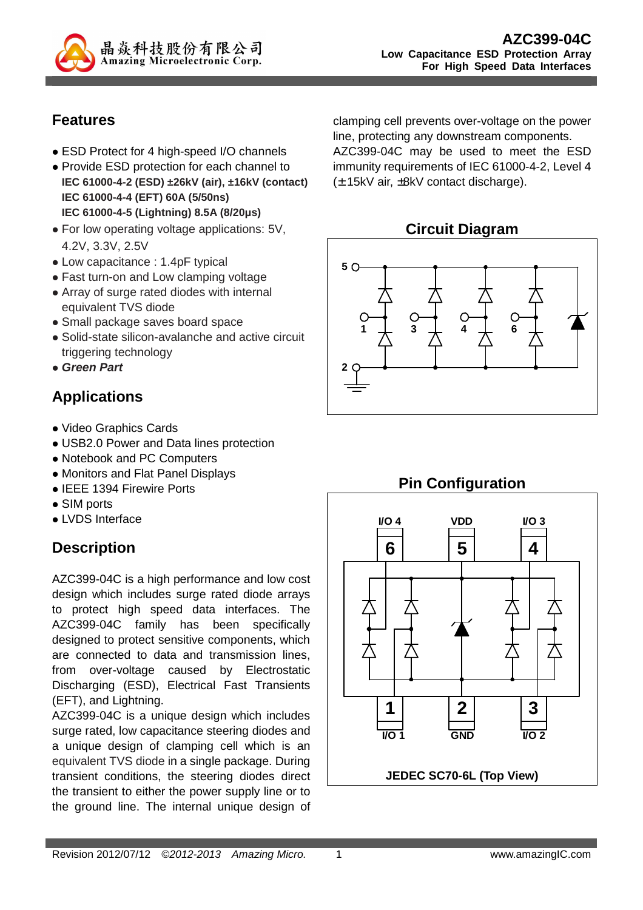

## **Features**

- ESD Protect for 4 high-speed I/O channels
- Provide ESD protection for each channel to **IEC 61000-4-2 (ESD) ±26kV (air), ±16kV (contact) IEC 61000-4-4 (EFT) 60A (5/50ns) IEC 61000-4-5 (Lightning) 8.5A (8/20µs)**
- For low operating voltage applications: 5V, 4.2V, 3.3V, 2.5V
- Low capacitance : 1.4pF typical
- Fast turn-on and Low clamping voltage
- Array of surge rated diodes with internal equivalent TVS diode
- Small package saves board space
- Solid-state silicon-avalanche and active circuit triggering technology
- **Green Part**

# **Applications**

- Video Graphics Cards
- USB2.0 Power and Data lines protection
- Notebook and PC Computers
- Monitors and Flat Panel Displays
- IEEE 1394 Firewire Ports
- SIM ports
- LVDS Interface

# **Description**

AZC399-04C is a high performance and low cost design which includes surge rated diode arrays to protect high speed data interfaces. The AZC399-04C family has been specifically designed to protect sensitive components, which are connected to data and transmission lines, from over-voltage caused by Electrostatic Discharging (ESD), Electrical Fast Transients (EFT), and Lightning.

AZC399-04C is a unique design which includes surge rated, low capacitance steering diodes and a unique design of clamping cell which is an equivalent TVS diode in a single package. During transient conditions, the steering diodes direct the transient to either the power supply line or to the ground line. The internal unique design of

clamping cell prevents over-voltage on the power line, protecting any downstream components. AZC399-04C may be used to meet the ESD immunity requirements of IEC 61000-4-2, Level 4



(± 15kV air, ±8kV contact discharge).





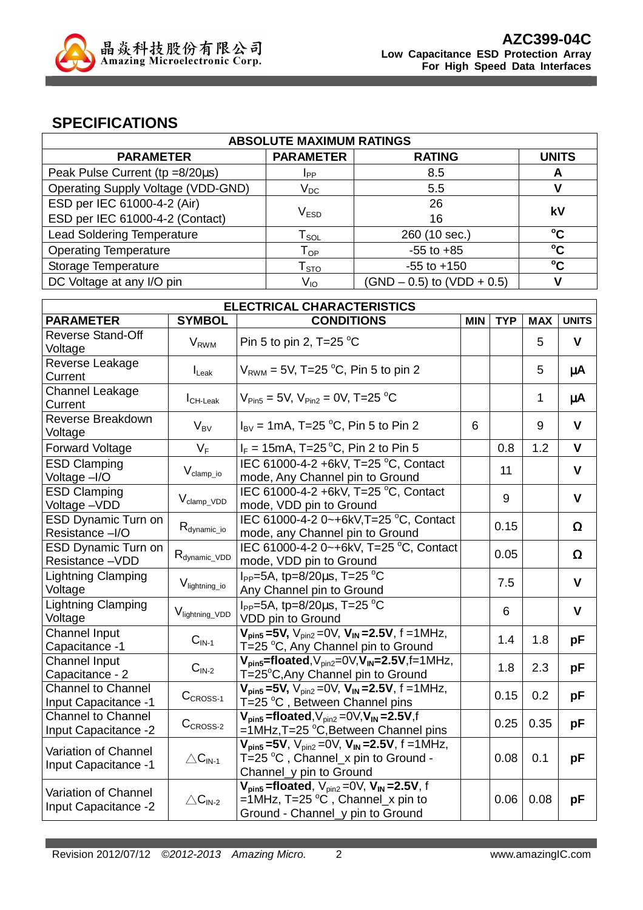

### **SPECIFICATIONS**

| <b>ABSOLUTE MAXIMUM RATINGS</b>           |                             |                                |                 |
|-------------------------------------------|-----------------------------|--------------------------------|-----------------|
| <b>PARAMETER</b>                          | <b>PARAMETER</b>            | <b>RATING</b>                  | <b>UNITS</b>    |
| Peak Pulse Current (tp =8/20us)           | Ipp                         | 8.5                            | A               |
| <b>Operating Supply Voltage (VDD-GND)</b> | $V_{DC}$                    | 5.5                            |                 |
| ESD per IEC 61000-4-2 (Air)               |                             | 26                             | kV              |
| ESD per IEC 61000-4-2 (Contact)           | $\mathsf{V}_{\texttt{ESD}}$ | 16                             |                 |
| <b>Lead Soldering Temperature</b>         | l sol                       | 260 (10 sec.)                  | $^{\circ}$ C    |
| <b>Operating Temperature</b>              | $\mathsf{T}_{\mathsf{OP}}$  | $-55$ to $+85$                 | $\rm ^{o}C$     |
| Storage Temperature                       | $\mathsf{T}_{\text{STO}}$   | $-55$ to $+150$                | $\rm ^{\circ}C$ |
| DC Voltage at any I/O pin                 | V <sub>IO</sub>             | $(SND - 0.5)$ to $(VDD + 0.5)$ |                 |

| <b>ELECTRICAL CHARACTERISTICS</b>                        |                             |                                                                                                                                   |            |            |            |              |
|----------------------------------------------------------|-----------------------------|-----------------------------------------------------------------------------------------------------------------------------------|------------|------------|------------|--------------|
| <b>PARAMETER</b>                                         | <b>SYMBOL</b>               | <b>CONDITIONS</b>                                                                                                                 | <b>MIN</b> | <b>TYP</b> | <b>MAX</b> | <b>UNITS</b> |
| <b>Reverse Stand-Off</b><br>Voltage                      | <b>V</b> <sub>RWM</sub>     | Pin 5 to pin 2, T=25 $^{\circ}$ C                                                                                                 |            |            | 5          | V            |
| Reverse Leakage<br>Current                               | $I_{\text{L}eak}$           | $V_{RWM}$ = 5V, T=25 °C, Pin 5 to pin 2                                                                                           |            |            | 5          | μA           |
| Channel Leakage<br>Current                               | $I_{CH\text{-}\text{Leak}}$ | $V_{\text{Pin5}} = 5V$ , $V_{\text{Pin2}} = 0V$ , T=25 °C                                                                         |            |            | 1          | μA           |
| Reverse Breakdown<br>Voltage                             | $V_{BV}$                    | $I_{\text{BV}}$ = 1mA, T=25 °C, Pin 5 to Pin 2                                                                                    | 6          |            | 9          | $\mathbf{V}$ |
| <b>Forward Voltage</b>                                   | $V_F$                       | $I_F = 15 \text{mA}, T = 25 \text{°C}, P \text{in } 2 \text{ to Pin } 5$                                                          |            | 0.8        | 1.2        | $\mathbf{V}$ |
| <b>ESD Clamping</b><br>Voltage -I/O                      | $V_{clamp\_io}$             | IEC 61000-4-2 +6kV, T=25 °C, Contact<br>mode, Any Channel pin to Ground                                                           |            | 11         |            | $\mathbf{V}$ |
| <b>ESD Clamping</b><br>Voltage-VDD                       | $V_{\text{clamp\_VDD}}$     | IEC 61000-4-2 +6kV, T=25 °C, Contact<br>mode, VDD pin to Ground                                                                   |            | 9          |            | $\mathbf{V}$ |
| <b>ESD Dynamic Turn on</b><br>Resistance -I/O            | $R_{\text{dynamic\_io}}$    | IEC 61000-4-2 0~+6kV, T=25 °C, Contact<br>mode, any Channel pin to Ground                                                         |            | 0.15       |            | $\Omega$     |
| <b>ESD Dynamic Turn on</b><br>Resistance-VDD             | $R_{dynamic\_VDD}$          | IEC 61000-4-2 0~+6kV, T=25 °C, Contact<br>mode, VDD pin to Ground                                                                 |            | 0.05       |            | $\Omega$     |
| Lightning Clamping<br>Voltage                            | V <sub>lightning_io</sub>   | $I_{PP}$ =5A, tp=8/20 $\mu$ s, T=25 °C<br>Any Channel pin to Ground                                                               |            | 7.5        |            | $\mathbf{V}$ |
| <b>Lightning Clamping</b><br>Voltage                     | V <sub>lightning_VDD</sub>  | $I_{PP} = 5A$ , tp=8/20 $\mu$ s, T=25 °C<br>VDD pin to Ground                                                                     |            | 6          |            | $\mathbf v$  |
| <b>Channel Input</b><br>Capacitance -1                   | $CIN-1$                     | $V_{\text{pin5}}$ =5V, $V_{\text{pin2}}$ =0V, $V_{\text{IN}}$ =2.5V, f =1MHz,<br>T=25 °C, Any Channel pin to Ground               |            | 1.4        | 1.8        | pF           |
| Channel Input<br>Capacitance - 2                         | $\mathbf{C}_\text{IN-2}$    | $V_{\text{pin5}}$ =floated, $V_{\text{pin2}}$ =0 $V, V_{\text{IN}}$ =2.5V,f=1MHz,<br>T=25°C,Any Channel pin to Ground             |            | 1.8        | 2.3        | pF           |
| <b>Channel to Channel</b><br><b>Input Capacitance -1</b> | $CCROS-1$                   | $V_{pin5} = 5V$ , $V_{pin2} = 0V$ , $V_{IN} = 2.5V$ , f = 1MHz,<br>T=25 °C, Between Channel pins                                  |            | 0.15       | 0.2        | pF           |
| <b>Channel to Channel</b><br>Input Capacitance -2        | $CCROS-2$                   | $V_{pin5}$ =floated, $V_{pin2}$ =0 $V, V_{IN}$ =2.5V,f<br>=1MHz,T=25 °C,Between Channel pins                                      |            | 0.25       | 0.35       | pF           |
| Variation of Channel<br>Input Capacitance -1             | $\triangle C_{IN-1}$        | $V_{pin5} = 5V$ , $V_{pin2} = 0V$ , $V_{IN} = 2.5V$ , f = 1MHz,<br>T=25 °C , Channel_x pin to Ground -<br>Channel_y pin to Ground |            | 0.08       | 0.1        | pF           |
| Variation of Channel<br>Input Capacitance -2             | $\triangle C_{IN-2}$        | $V_{pin5}$ =floated, $V_{pin2}$ =0V, $V_{IN}$ =2.5V, f<br>=1MHz, T=25 °C, Channel_x pin to<br>Ground - Channel_y pin to Ground    |            | 0.06       | 0.08       | рF           |

Revision 2012/07/12 ©2012-2013 Amazing Micro. 2 www.amazingIC.com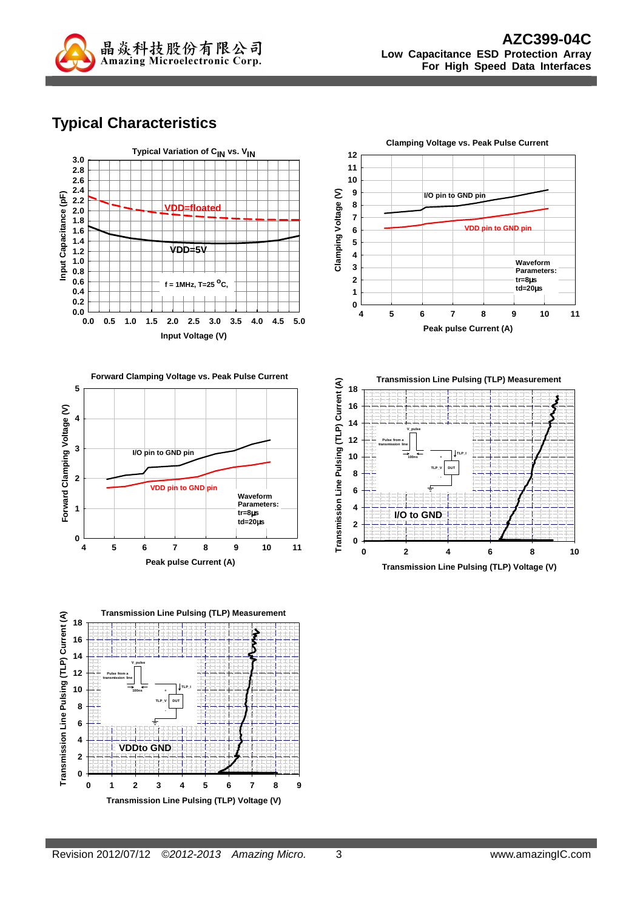

# **Typical Characteristics**









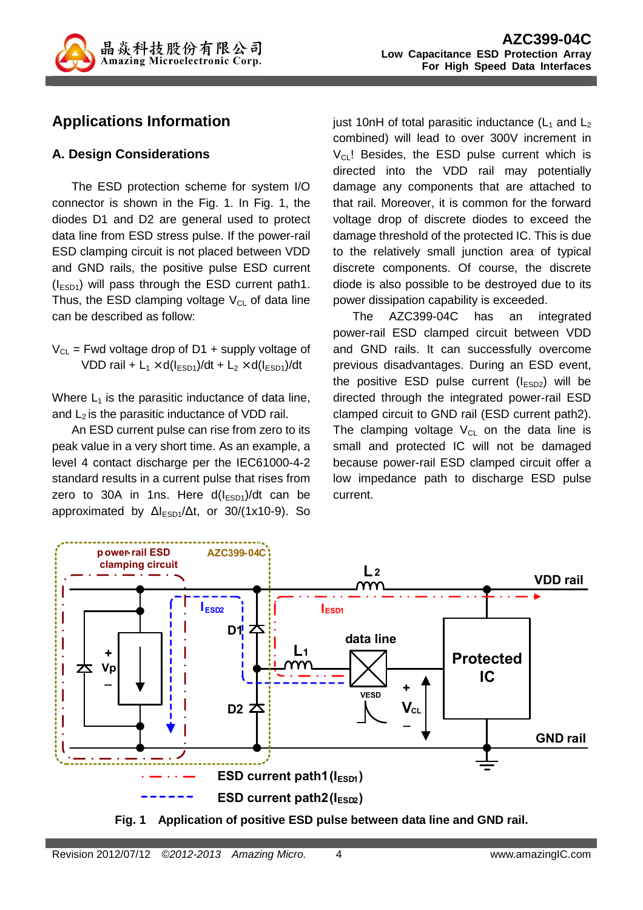

## **Applications Information**

### **A. Design Considerations**

The ESD protection scheme for system I/O connector is shown in the Fig. 1. In Fig. 1, the diodes D1 and D2 are general used to protect data line from ESD stress pulse. If the power-rail ESD clamping circuit is not placed between VDD and GND rails, the positive pulse ESD current  $(I<sub>ESD1</sub>)$  will pass through the ESD current path1. Thus, the ESD clamping voltage  $V_{CL}$  of data line can be described as follow:

 $V_{CL}$  = Fwd voltage drop of D1 + supply voltage of VDD rail +  $L_1 \times d(l_{ESD1})/dt + L_2 \times d(l_{ESD1})/dt$ 

Where  $L_1$  is the parasitic inductance of data line, and  $L_2$  is the parasitic inductance of VDD rail.

An ESD current pulse can rise from zero to its peak value in a very short time. As an example, a level 4 contact discharge per the IEC61000-4-2 standard results in a current pulse that rises from zero to 30A in 1ns. Here  $d(I<sub>ESD1</sub>)/dt$  can be approximated by  $\Delta l_{ESD1}/\Delta t$ , or 30/(1x10-9). So just 10nH of total parasitic inductance  $(L_1$  and  $L_2$ combined) will lead to over 300V increment in  $V_{CL}$ ! Besides, the ESD pulse current which is directed into the VDD rail may potentially damage any components that are attached to that rail. Moreover, it is common for the forward voltage drop of discrete diodes to exceed the damage threshold of the protected IC. This is due to the relatively small junction area of typical discrete components. Of course, the discrete diode is also possible to be destroyed due to its power dissipation capability is exceeded.

The AZC399-04C has an integrated power-rail ESD clamped circuit between VDD and GND rails. It can successfully overcome previous disadvantages. During an ESD event, the positive ESD pulse current  $(I_{ESD2})$  will be directed through the integrated power-rail ESD clamped circuit to GND rail (ESD current path2). The clamping voltage  $V_{CL}$  on the data line is small and protected IC will not be damaged because power-rail ESD clamped circuit offer a low impedance path to discharge ESD pulse current.



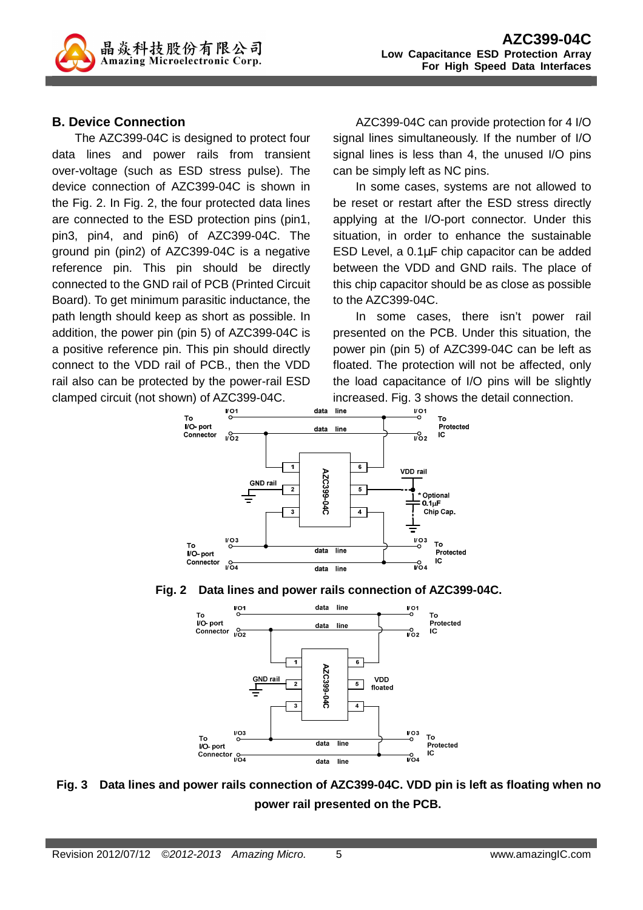

### **B. Device Connection**

The AZC399-04C is designed to protect four data lines and power rails from transient over-voltage (such as ESD stress pulse). The device connection of AZC399-04C is shown in the Fig. 2. In Fig. 2, the four protected data lines are connected to the ESD protection pins (pin1, pin3, pin4, and pin6) of AZC399-04C. The ground pin (pin2) of AZC399-04C is a negative reference pin. This pin should be directly connected to the GND rail of PCB (Printed Circuit Board). To get minimum parasitic inductance, the path length should keep as short as possible. In addition, the power pin (pin 5) of AZC399-04C is a positive reference pin. This pin should directly connect to the VDD rail of PCB., then the VDD rail also can be protected by the power-rail ESD clamped circuit (not shown) of AZC399-04C.

AZC399-04C can provide protection for 4 I/O signal lines simultaneously. If the number of I/O signal lines is less than 4, the unused I/O pins can be simply left as NC pins.

In some cases, systems are not allowed to be reset or restart after the ESD stress directly applying at the I/O-port connector. Under this situation, in order to enhance the sustainable ESD Level, a 0.1µF chip capacitor can be added between the VDD and GND rails. The place of this chip capacitor should be as close as possible to the AZC399-04C.

In some cases, there isn't power rail presented on the PCB. Under this situation, the power pin (pin 5) of AZC399-04C can be left as floated. The protection will not be affected, only the load capacitance of I/O pins will be slightly increased. Fig. 3 shows the detail connection.







**Fig. 3 Data lines and power rails connection of AZC399-04C. VDD pin is left as floating when no power rail presented on the PCB.**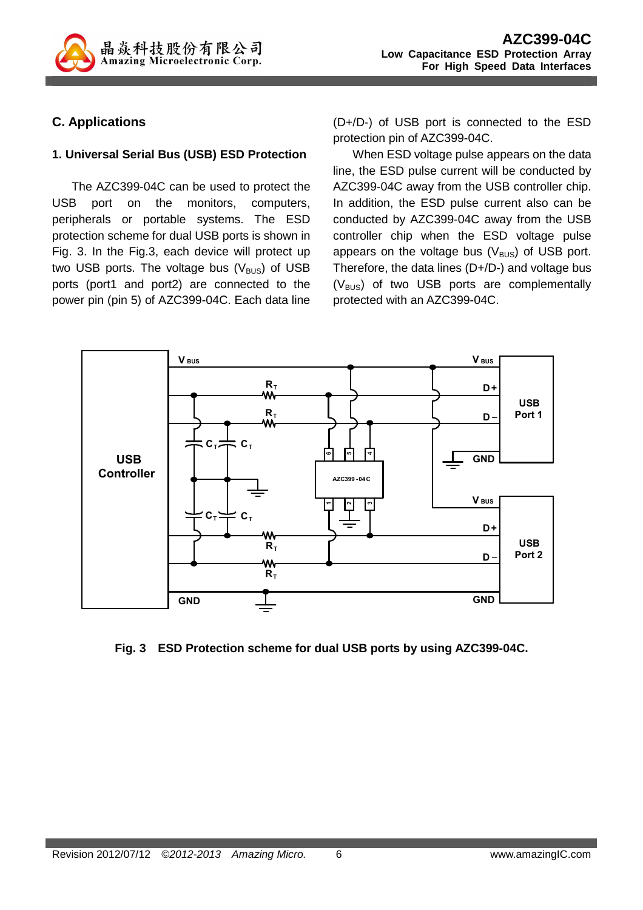

### **C. Applications**

#### **1. Universal Serial Bus (USB) ESD Protection**

The AZC399-04C can be used to protect the USB port on the monitors, computers, peripherals or portable systems. The ESD protection scheme for dual USB ports is shown in Fig. 3. In the Fig.3, each device will protect up two USB ports. The voltage bus  $(V_{\text{BUS}})$  of USB ports (port1 and port2) are connected to the power pin (pin 5) of AZC399-04C. Each data line

(D+/D-) of USB port is connected to the ESD protection pin of AZC399-04C.

When ESD voltage pulse appears on the data line, the ESD pulse current will be conducted by AZC399-04C away from the USB controller chip. In addition, the ESD pulse current also can be conducted by AZC399-04C away from the USB controller chip when the ESD voltage pulse appears on the voltage bus  $(V_{\text{BUS}})$  of USB port. Therefore, the data lines (D+/D-) and voltage bus  $(V_{\text{BUS}})$  of two USB ports are complementally protected with an AZC399-04C.



**Fig. 3 ESD Protection scheme for dual USB ports by using AZC399-04C.**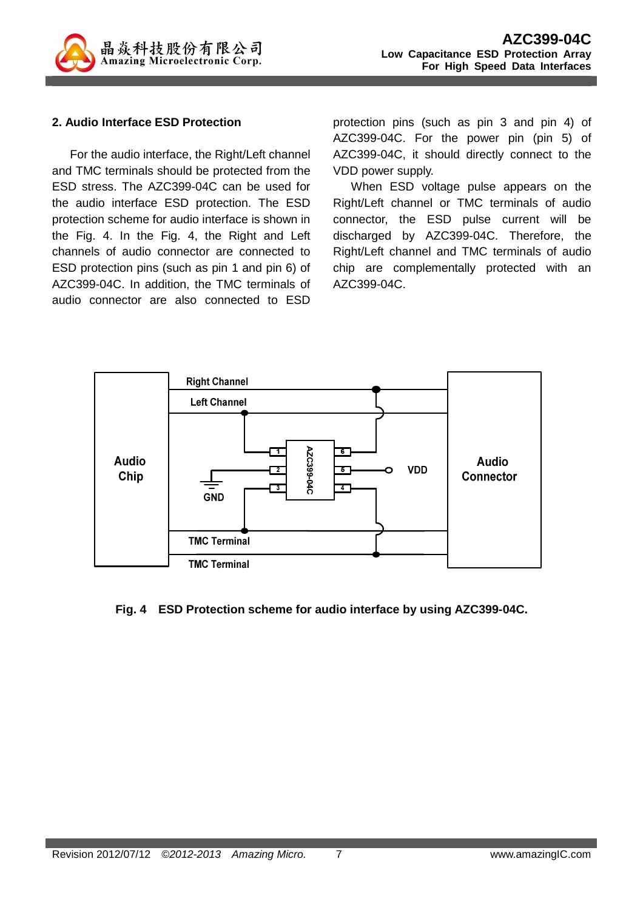

#### **2. Audio Interface ESD Protection**

For the audio interface, the Right/Left channel and TMC terminals should be protected from the ESD stress. The AZC399-04C can be used for the audio interface ESD protection. The ESD protection scheme for audio interface is shown in the Fig. 4. In the Fig. 4, the Right and Left channels of audio connector are connected to ESD protection pins (such as pin 1 and pin 6) of AZC399-04C. In addition, the TMC terminals of audio connector are also connected to ESD

protection pins (such as pin 3 and pin 4) of AZC399-04C. For the power pin (pin 5) of AZC399-04C, it should directly connect to the VDD power supply.

When ESD voltage pulse appears on the Right/Left channel or TMC terminals of audio connector, the ESD pulse current will be discharged by AZC399-04C. Therefore, the Right/Left channel and TMC terminals of audio chip are complementally protected with an AZC399-04C.



#### **Fig. 4 ESD Protection scheme for audio interface by using AZC399-04C.**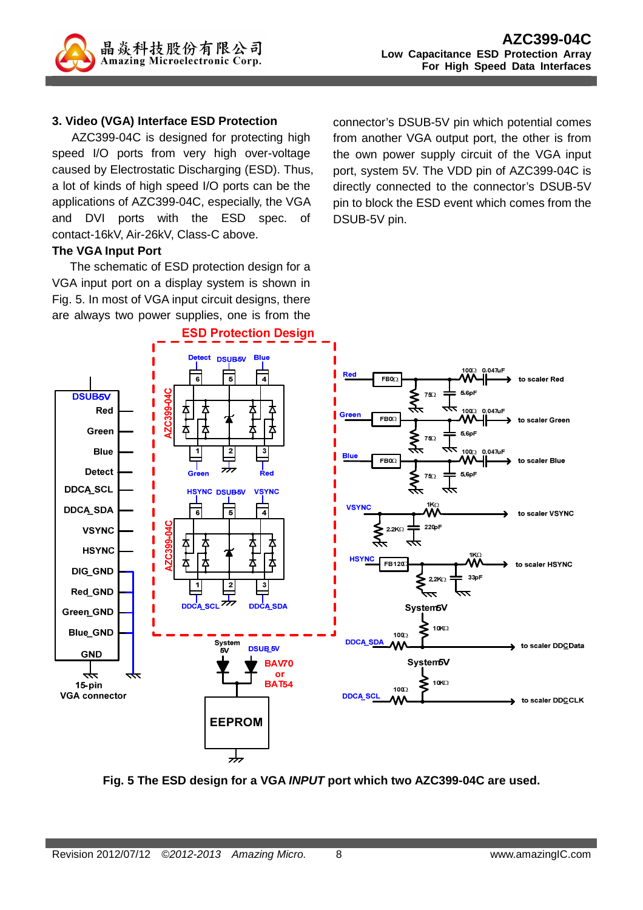

#### **3. Video (VGA) Interface ESD Protection**

AZC399-04C is designed for protecting high speed I/O ports from very high over-voltage caused by Electrostatic Discharging (ESD). Thus, a lot of kinds of high speed I/O ports can be the applications of AZC399-04C, especially, the VGA and DVI ports with the ESD spec. of contact-16kV, Air-26kV, Class-C above.

#### **The VGA Input Port**

The schematic of ESD protection design for a VGA input port on a display system is shown in Fig. 5. In most of VGA input circuit designs, there are always two power supplies, one is from the connector's DSUB-5V pin which potential comes from another VGA output port, the other is from the own power supply circuit of the VGA input port, system 5V. The VDD pin of AZC399-04C is directly connected to the connector's DSUB-5V pin to block the ESD event which comes from the DSUB-5V pin.



**Fig. 5 The ESD design for a VGA INPUT port which two AZC399-04C are used.**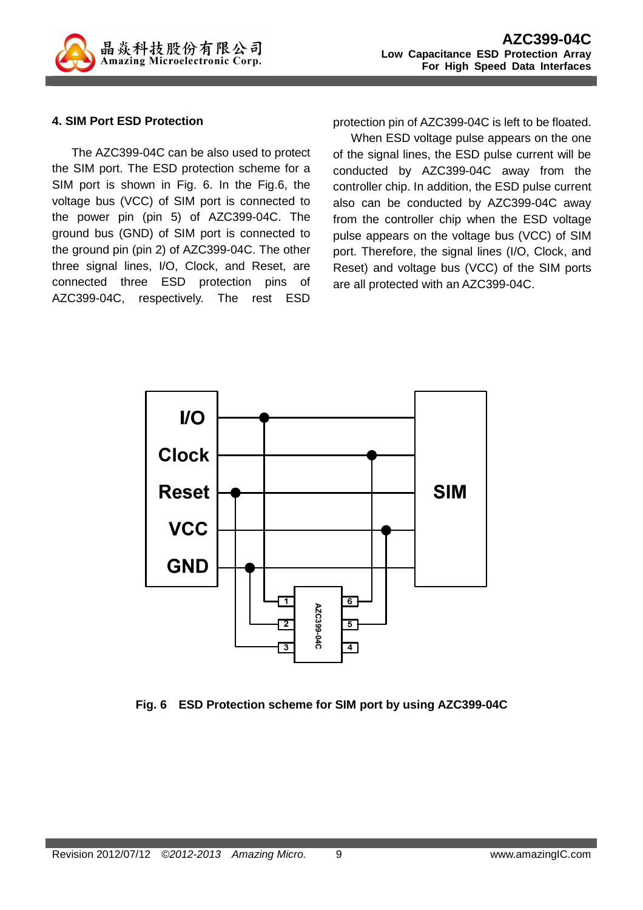

#### **4. SIM Port ESD Protection**

The AZC399-04C can be also used to protect the SIM port. The ESD protection scheme for a SIM port is shown in Fig. 6. In the Fig.6, the voltage bus (VCC) of SIM port is connected to the power pin (pin 5) of AZC399-04C. The ground bus (GND) of SIM port is connected to the ground pin (pin 2) of AZC399-04C. The other three signal lines, I/O, Clock, and Reset, are connected three ESD protection pins of AZC399-04C, respectively. The rest ESD

protection pin of AZC399-04C is left to be floated.

When ESD voltage pulse appears on the one of the signal lines, the ESD pulse current will be conducted by AZC399-04C away from the controller chip. In addition, the ESD pulse current also can be conducted by AZC399-04C away from the controller chip when the ESD voltage pulse appears on the voltage bus (VCC) of SIM port. Therefore, the signal lines (I/O, Clock, and Reset) and voltage bus (VCC) of the SIM ports are all protected with an AZC399-04C.



**Fig. 6 ESD Protection scheme for SIM port by using AZC399-04C**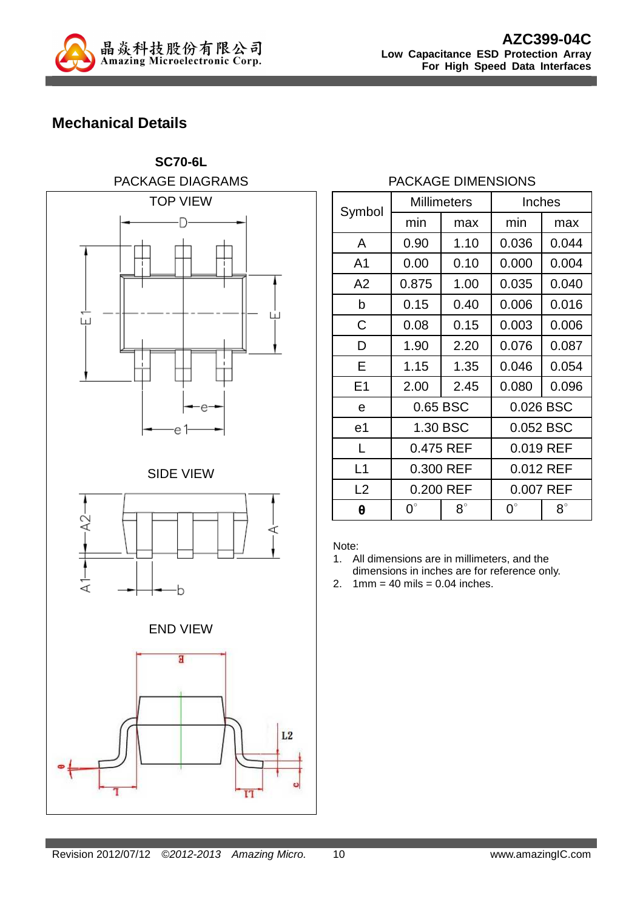

## **Mechanical Details**



### PACKAGE DIMENSIONS

|                |             | <b>Millimeters</b> |                          | Inches    |
|----------------|-------------|--------------------|--------------------------|-----------|
| Symbol         | min         | max                | min                      | max       |
| A              | 0.90        | 1.10               | 0.036                    | 0.044     |
| A <sub>1</sub> | 0.00        | 0.10               | 0.000                    | 0.004     |
| A2             | 0.875       | 1.00               | 0.035                    | 0.040     |
| b              | 0.15        | 0.40               | 0.006                    | 0.016     |
| C              | 0.08        | 0.15               | 0.003                    | 0.006     |
| D              | 1.90        | 2.20               | 0.076                    | 0.087     |
| Е              | 1.15        | 1.35               | 0.046                    | 0.054     |
| E1             | 2.00        | 2.45               | 0.080                    | 0.096     |
| e              | 0.65 BSC    |                    |                          | 0.026 BSC |
| e <sub>1</sub> | 1.30 BSC    |                    | 0.052 BSC                |           |
| L              | 0.475 REF   |                    | 0.019 REF                |           |
| L1             | 0.300 REF   |                    | 0.012 REF                |           |
| L2             | 0.200 REF   |                    | 0.007 REF                |           |
| θ              | $0^{\circ}$ | $8^\circ$          | $0^{\circ}$<br>$8^\circ$ |           |

Note:

- 1. All dimensions are in millimeters, and the dimensions in inches are for reference only.
- 2.  $1mm = 40 mils = 0.04 inches.$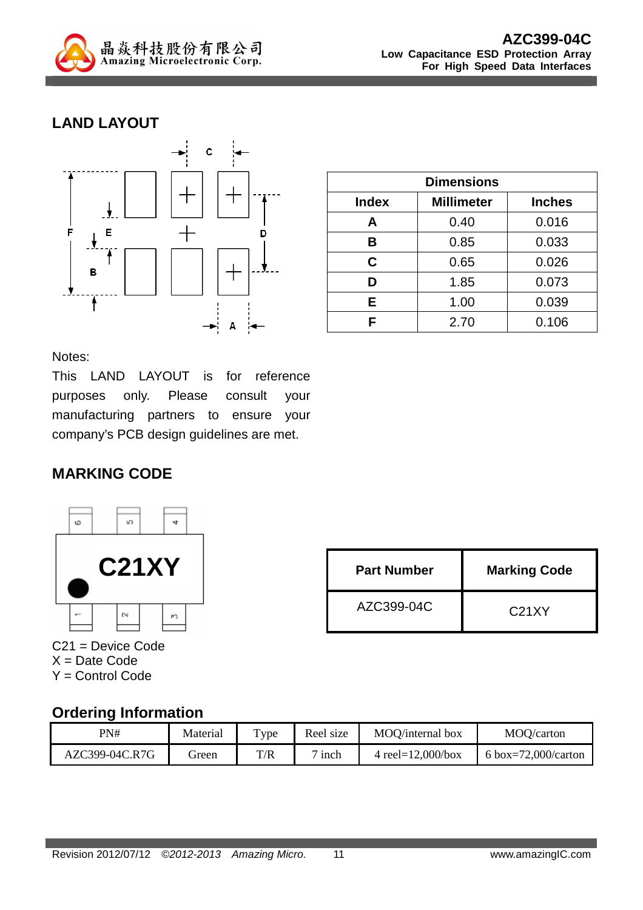

## **LAND LAYOUT**



| <b>Dimensions</b> |                   |               |  |
|-------------------|-------------------|---------------|--|
| <b>Index</b>      | <b>Millimeter</b> | <b>Inches</b> |  |
| А                 | 0.40              | 0.016         |  |
| B                 | 0.85              | 0.033         |  |
| C                 | 0.65              | 0.026         |  |
| D                 | 1.85              | 0.073         |  |
| Е                 | 1.00              | 0.039         |  |
| F                 | 2.70              | 0.106         |  |

Notes:

This LAND LAYOUT is for reference purposes only. Please consult your manufacturing partners to ensure your company's PCB design guidelines are met.

### **MARKING CODE**



C21 = Device Code  $X = Date Code$ Y = Control Code

| <b>Part Number</b> | <b>Marking Code</b> |  |
|--------------------|---------------------|--|
| AZC399-04C         | C <sub>21</sub> XY  |  |

### **Ordering Information**

| PN#            | Material | Type | Reel size     | MOO/internal box      | MOQ/carton          |
|----------------|----------|------|---------------|-----------------------|---------------------|
| AZC399-04C.R7G | freen    | T/R  | $\sigma$ inch | 4 reel= $12,000/b$ ox | 6 box=72,000/carton |